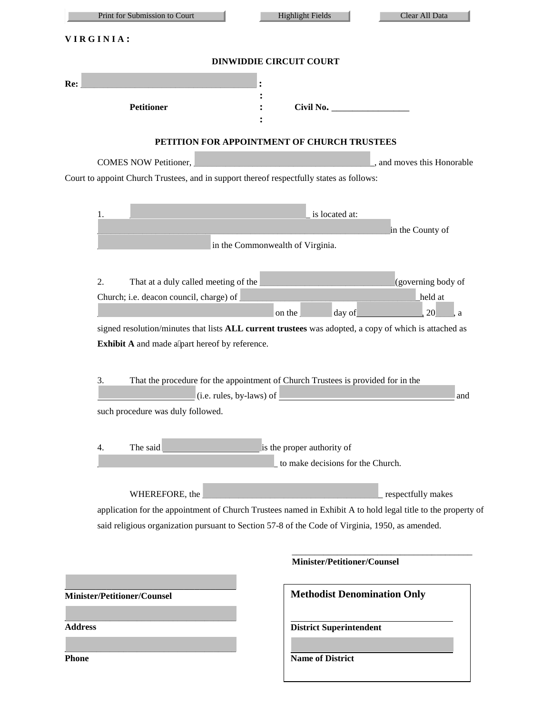| Print for Submission to Court                                                                                                                    | <b>Highlight Fields</b><br>Clear All Data                                                                                                                                                                                             |  |  |
|--------------------------------------------------------------------------------------------------------------------------------------------------|---------------------------------------------------------------------------------------------------------------------------------------------------------------------------------------------------------------------------------------|--|--|
| VIRGINIA:                                                                                                                                        |                                                                                                                                                                                                                                       |  |  |
| <b>DINWIDDIE CIRCUIT COURT</b>                                                                                                                   |                                                                                                                                                                                                                                       |  |  |
| Re:<br><b>Petitioner</b>                                                                                                                         | Civil No.                                                                                                                                                                                                                             |  |  |
|                                                                                                                                                  | PETITION FOR APPOINTMENT OF CHURCH TRUSTEES                                                                                                                                                                                           |  |  |
| COMES NOW Petitioner,<br>Court to appoint Church Trustees, and in support thereof respectfully states as follows:                                | , and moves this Honorable                                                                                                                                                                                                            |  |  |
| 1.                                                                                                                                               | is located at:<br>in the County of                                                                                                                                                                                                    |  |  |
|                                                                                                                                                  | in the Commonwealth of Virginia.                                                                                                                                                                                                      |  |  |
| 2.<br>That at a duly called meeting of the<br>Church; i.e. deacon council, charge) of                                                            | (governing body of<br>held at<br>20<br>on the<br>day of<br>, a<br>signed resolution/minutes that lists ALL current trustees was adopted, a copy of which is attached as                                                               |  |  |
| Exhibit A and made a part hereof by reference.<br>3.<br>$(i.e. rules, by-laws)$ of $\overline{\phantom{a}}$<br>such procedure was duly followed. | That the procedure for the appointment of Church Trustees is provided for in the<br>and                                                                                                                                               |  |  |
| The said<br>4.                                                                                                                                   | is the proper authority of<br>to make decisions for the Church.                                                                                                                                                                       |  |  |
| WHEREFORE, the                                                                                                                                   | respectfully makes<br>application for the appointment of Church Trustees named in Exhibit A to hold legal title to the property of<br>said religious organization pursuant to Section 57-8 of the Code of Virginia, 1950, as amended. |  |  |
|                                                                                                                                                  | <b>Minister/Petitioner/Counsel</b>                                                                                                                                                                                                    |  |  |
| <b>Minister/Petitioner/Counsel</b>                                                                                                               | <b>Methodist Denomination Only</b>                                                                                                                                                                                                    |  |  |
| <b>Address</b><br><b>Phone</b>                                                                                                                   | <b>District Superintendent</b><br><b>Name of District</b>                                                                                                                                                                             |  |  |